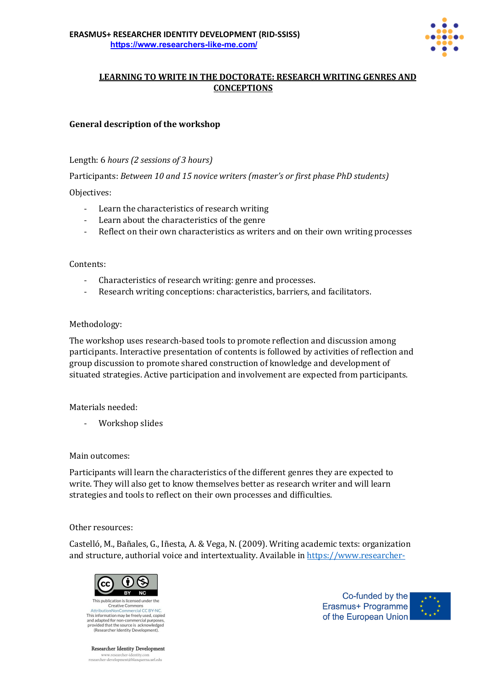

# **LEARNING TO WRITE IN THE DOCTORATE: RESEARCH WRITING GENRES AND CONCEPTIONS**

## **General description of the workshop**

## Length: 6 *hours* (2 *sessions of 3 hours*)

Participants: *Between 10 and 15 novice writers (master's or first phase PhD students)* 

### Objectives:

- Learn the characteristics of research writing
- Learn about the characteristics of the genre
- Reflect on their own characteristics as writers and on their own writing processes

### Contents:

- Characteristics of research writing: genre and processes.
- Research writing conceptions: characteristics, barriers, and facilitators.

### Methodology:

The workshop uses research-based tools to promote reflection and discussion among participants. Interactive presentation of contents is followed by activities of reflection and group discussion to promote shared construction of knowledge and development of situated strategies. Active participation and involvement are expected from participants.

Materials needed:

Workshop slides

#### Main outcomes:

Participants will learn the characteristics of the different genres they are expected to write. They will also get to know themselves better as research writer and will learn strategies and tools to reflect on their own processes and difficulties.

#### Other resources:

Castelló, M., Bañales, G., Iñesta, A. & Vega, N. (2009). Writing academic texts: organization and structure, authorial voice and intertextuality. Available in https://www.researcher-



Researcher Identity Development  $\label{thm:main} \begin{minipage}{0.9\linewidth} \begin{minipage}{0.9\linewidth} \textbf{www.researcher-identity.com} \\ \textbf{researcher-development@blanquerna.url.edu} \end{minipage} \end{minipage}$ 

Co-funded by the Erasmus+ Programme of the European Union

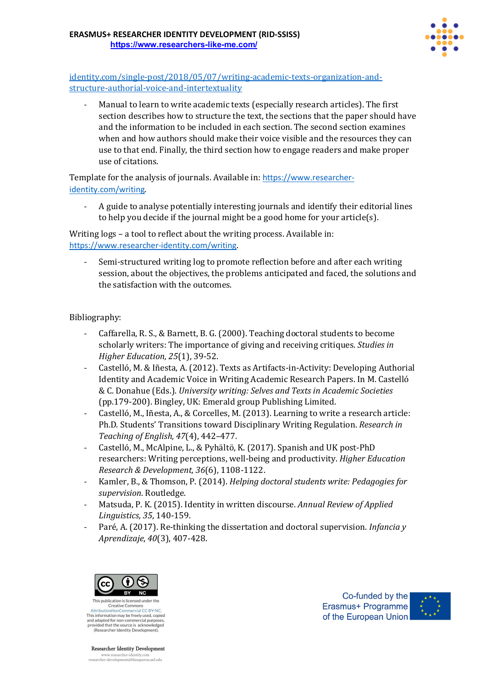

identity.com/single-post/2018/05/07/writing-academic-texts-organization-andstructure-authorial-voice-and-intertextuality

Manual to learn to write academic texts (especially research articles). The first section describes how to structure the text, the sections that the paper should have and the information to be included in each section. The second section examines when and how authors should make their voice visible and the resources they can use to that end. Finally, the third section how to engage readers and make proper use of citations.

Template for the analysis of journals. Available in: https://www.researcheridentity.com/writing.

A guide to analyse potentially interesting journals and identify their editorial lines to help you decide if the journal might be a good home for your article(s).

Writing  $\log s$  – a tool to reflect about the writing process. Available in: https://www.researcher-identity.com/writing.

Semi-structured writing log to promote reflection before and after each writing session, about the objectives, the problems anticipated and faced, the solutions and the satisfaction with the outcomes.

## Bibliography:

- Caffarella, R. S., & Barnett, B. G. (2000). Teaching doctoral students to become scholarly writers: The importance of giving and receiving critiques. *Studies in Higher Education, 25*(1), 39-52.
- Castelló, M. & Iñesta, A. (2012). Texts as Artifacts-in-Activity: Developing Authorial Identity and Academic Voice in Writing Academic Research Papers. In M. Castelló & C. Donahue (Eds.). *University writing: Selves and Texts in Academic Societies* (pp.179-200). Bingley, UK: Emerald group Publishing Limited.
- Castelló, M., Iñesta, A., & Corcelles, M. (2013). Learning to write a research article: Ph.D. Students' Transitions toward Disciplinary Writing Regulation. *Research in Teaching of English, 47*(4), 442–477.
- Castelló, M., McAlpine, L., & Pyhältö, K. (2017). Spanish and UK post-PhD researchers: Writing perceptions, well-being and productivity. *Higher Education Research & Development, 36*(6), 1108-1122.
- Kamler, B., & Thomson, P. (2014). *Helping doctoral students write: Pedagogies for supervision*. Routledge.
- Matsuda, P. K. (2015). Identity in written discourse. *Annual Review of Applied Linguistics, 35*, 140-159.
- Paré, A. (2017). Re-thinking the dissertation and doctoral supervision. *Infancia* y *Aprendizaje*, *40*(3), 407-428.



This information may be freely used, copied Final mormanoninay be rieely used.<br>and adapted for non-commercial purposes<br>provided that the source is acknowledged<br>(Researcher Identity Development).

**Researcher Identity Development**  $\label{thm:main} \begin{minipage}{0.9\linewidth} \begin{minipage}{0.9\linewidth} \textbf{www.researcher-identity.com} \\ \textbf{researcher-development@blanquerna.url.edu} \end{minipage} \end{minipage}$ 

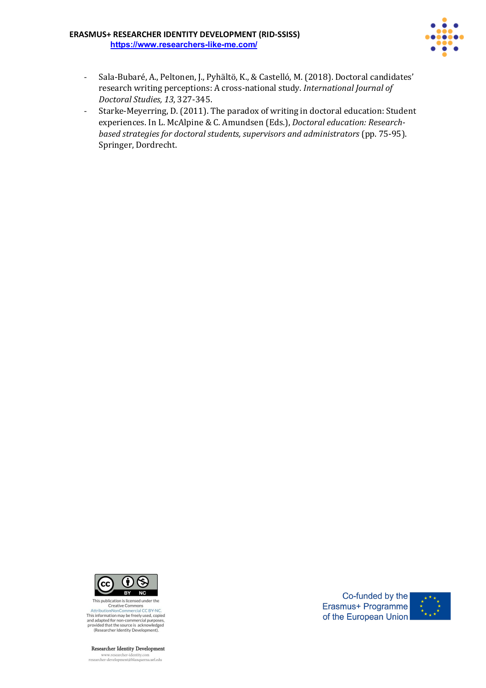#### **ERASMUS+ RESEARCHER IDENTITY DEVELOPMENT (RID-SSISS) https://www.researchers-like-me.com/**



- Sala-Bubaré, A., Peltonen, J., Pyhältö, K., & Castelló, M. (2018). Doctoral candidates' research writing perceptions: A cross-national study. *International Journal of Doctoral Studies, 13*, 327-345.
- Starke-Meyerring, D. (2011). The paradox of writing in doctoral education: Student experiences. In L. McAlpine & C. Amundsen (Eds.), *Doctoral education: Researchbased strategies for doctoral students, supervisors and administrators* (pp. 75-95). Springer, Dordrecht.



This publication is licensed under the<br>Creative Commons<br>AttributionNonCommercial CC BY-NC.<br>This information may be freely used, copied This importantion that of the present commercial purposes,<br>and adapted for non-commercial purposes,<br>provided that the source is acknowledged<br>(Researcher Identity Development).

Researcher Identity Development

 $\begin{minipage}{0.9\linewidth} \begin{minipage}{0.9\linewidth} \textbf{www.researcher-identity.com} \\ \textbf{researcher-development@blanquerna.url.edu} \end{minipage} \end{minipage}$ 

Co-funded by the Erasmus+ Programme of the European Union

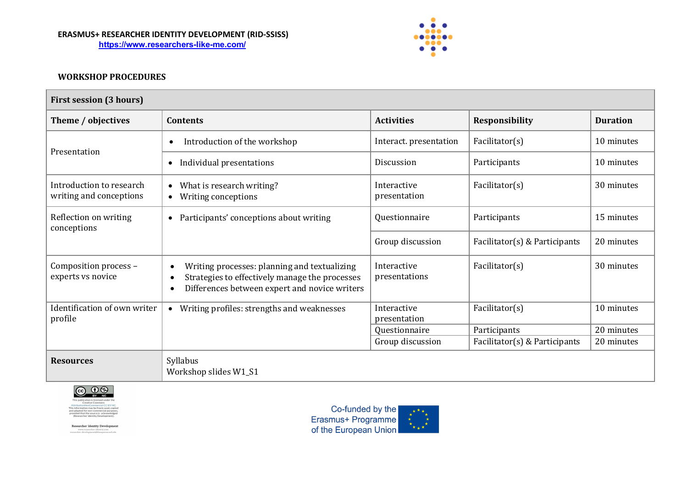#### **ERASMUS+ RESEARCHER IDENTITY DEVELOPMENT (RID-SSISS) https://www.researchers-like-me.com/**



## **WORKSHOP PROCEDURES**

| <b>First session (3 hours)</b>                      |                                                                                                                                                                                        |                              |                               |                 |  |  |  |
|-----------------------------------------------------|----------------------------------------------------------------------------------------------------------------------------------------------------------------------------------------|------------------------------|-------------------------------|-----------------|--|--|--|
| Theme / objectives                                  | <b>Contents</b>                                                                                                                                                                        | <b>Activities</b>            | Responsibility                | <b>Duration</b> |  |  |  |
| Presentation                                        | Introduction of the workshop<br>$\bullet$                                                                                                                                              | Interact. presentation       | Facilitator(s)                | 10 minutes      |  |  |  |
|                                                     | Individual presentations<br>$\bullet$                                                                                                                                                  | <b>Discussion</b>            | Participants                  | 10 minutes      |  |  |  |
| Introduction to research<br>writing and conceptions | What is research writing?<br>$\bullet$<br>Writing conceptions<br>$\bullet$                                                                                                             | Interactive<br>presentation  | Facilitator(s)                | 30 minutes      |  |  |  |
| Reflection on writing<br>conceptions                | Participants' conceptions about writing<br>$\bullet$                                                                                                                                   | Questionnaire                | Participants                  | 15 minutes      |  |  |  |
|                                                     |                                                                                                                                                                                        | Group discussion             | Facilitator(s) & Participants | 20 minutes      |  |  |  |
| Composition process -<br>experts vs novice          | Writing processes: planning and textualizing<br>$\bullet$<br>Strategies to effectively manage the processes<br>$\bullet$<br>Differences between expert and novice writers<br>$\bullet$ | Interactive<br>presentations | Facilitator(s)                | 30 minutes      |  |  |  |
| Identification of own writer<br>profile             | Writing profiles: strengths and weaknesses<br>$\bullet$                                                                                                                                | Interactive<br>presentation  | Facilitator(s)                | 10 minutes      |  |  |  |
|                                                     |                                                                                                                                                                                        | Questionnaire                | Participants                  | 20 minutes      |  |  |  |
|                                                     |                                                                                                                                                                                        | Group discussion             | Facilitator(s) & Participants | 20 minutes      |  |  |  |
| <b>Resources</b>                                    | Syllabus<br>Workshop slides W1_S1                                                                                                                                                      |                              |                               |                 |  |  |  |



Researcher Identity Development www.researcher-identity.com<br>researcher-development@blanquerna.url.edu

Co-funded by the<br>Erasmus+ Programme<br>of the European Union